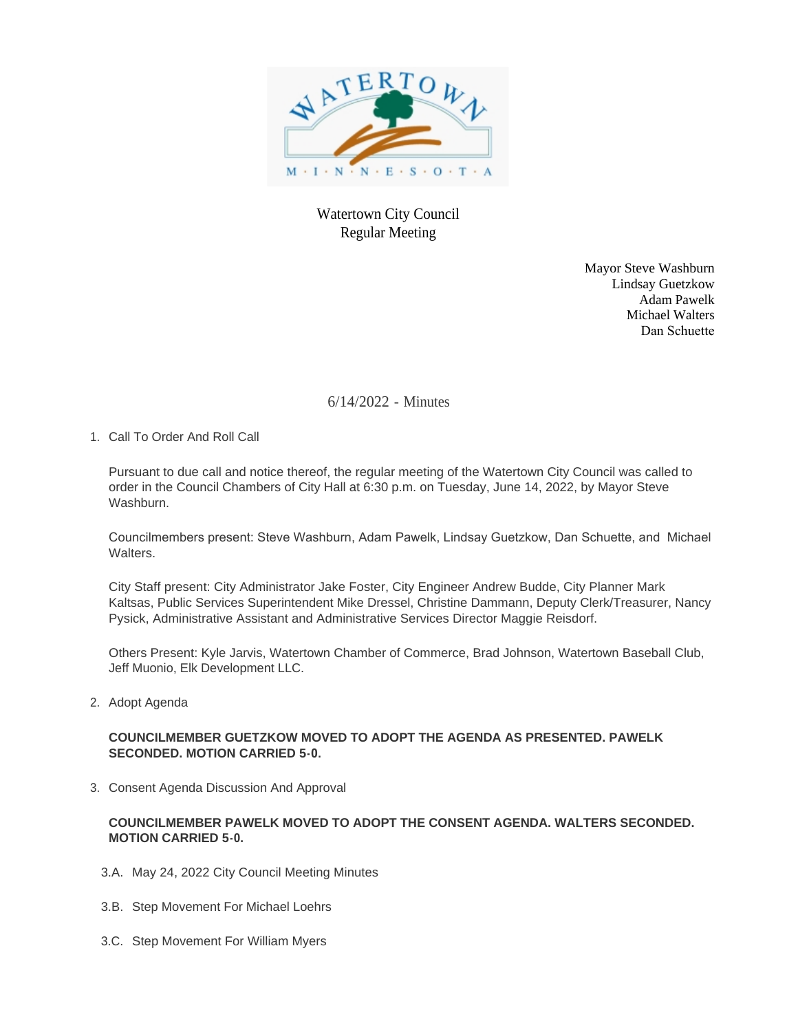

Watertown City Council Regular Meeting

> Mayor Steve Washburn Lindsay Guetzkow Adam Pawelk Michael Walters Dan Schuette

6/14/2022 - Minutes

1. Call To Order And Roll Call

Pursuant to due call and notice thereof, the regular meeting of the Watertown City Council was called to order in the Council Chambers of City Hall at 6:30 p.m. on Tuesday, June 14, 2022, by Mayor Steve Washburn.

Councilmembers present: Steve Washburn, Adam Pawelk, Lindsay Guetzkow, Dan Schuette, and Michael Walters.

City Staff present: City Administrator Jake Foster, City Engineer Andrew Budde, City Planner Mark Kaltsas, Public Services Superintendent Mike Dressel, Christine Dammann, Deputy Clerk/Treasurer, Nancy Pysick, Administrative Assistant and Administrative Services Director Maggie Reisdorf.

Others Present: Kyle Jarvis, Watertown Chamber of Commerce, Brad Johnson, Watertown Baseball Club, Jeff Muonio, Elk Development LLC.

2. Adopt Agenda

# **COUNCILMEMBER GUETZKOW MOVED TO ADOPT THE AGENDA AS PRESENTED. PAWELK SECONDED. MOTION CARRIED 5-0.**

3. Consent Agenda Discussion And Approval

# **COUNCILMEMBER PAWELK MOVED TO ADOPT THE CONSENT AGENDA. WALTERS SECONDED. MOTION CARRIED 5-0.**

- 3.A. May 24, 2022 City Council Meeting Minutes
- 3.B. Step Movement For Michael Loehrs
- 3.C. Step Movement For William Myers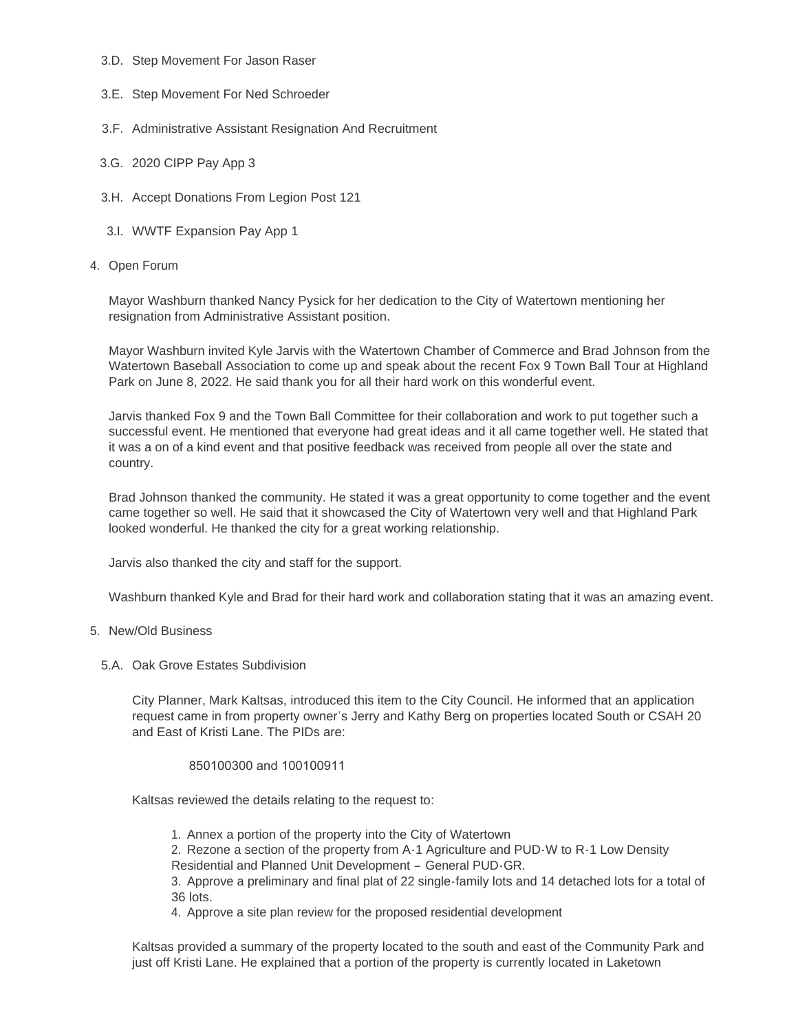- 3.D. Step Movement For Jason Raser
- 3.E. Step Movement For Ned Schroeder
- 3.F. Administrative Assistant Resignation And Recruitment
- 3.G. 2020 CIPP Pay App 3
- 3.H. Accept Donations From Legion Post 121
- 3.I. WWTF Expansion Pay App 1
- 4. Open Forum

Mayor Washburn thanked Nancy Pysick for her dedication to the City of Watertown mentioning her resignation from Administrative Assistant position.

Mayor Washburn invited Kyle Jarvis with the Watertown Chamber of Commerce and Brad Johnson from the Watertown Baseball Association to come up and speak about the recent Fox 9 Town Ball Tour at Highland Park on June 8, 2022. He said thank you for all their hard work on this wonderful event.

Jarvis thanked Fox 9 and the Town Ball Committee for their collaboration and work to put together such a successful event. He mentioned that everyone had great ideas and it all came together well. He stated that it was a on of a kind event and that positive feedback was received from people all over the state and country.

Brad Johnson thanked the community. He stated it was a great opportunity to come together and the event came together so well. He said that it showcased the City of Watertown very well and that Highland Park looked wonderful. He thanked the city for a great working relationship.

Jarvis also thanked the city and staff for the support.

Washburn thanked Kyle and Brad for their hard work and collaboration stating that it was an amazing event.

### 5. New/Old Business

5.A. Oak Grove Estates Subdivision

City Planner, Mark Kaltsas, introduced this item to the City Council. He informed that an application request came in from property owner's Jerry and Kathy Berg on properties located South or CSAH 20 and East of Kristi Lane. The PIDs are:

#### 850100300 and 100100911

Kaltsas reviewed the details relating to the request to:

1. Annex a portion of the property into the City of Watertown

2. Rezone a section of the property from A-1 Agriculture and PUD-W to R-1 Low Density Residential and Planned Unit Development – General PUD-GR.

3. Approve a preliminary and final plat of 22 single-family lots and 14 detached lots for a total of 36 lots.

4. Approve a site plan review for the proposed residential development

Kaltsas provided a summary of the property located to the south and east of the Community Park and just off Kristi Lane. He explained that a portion of the property is currently located in Laketown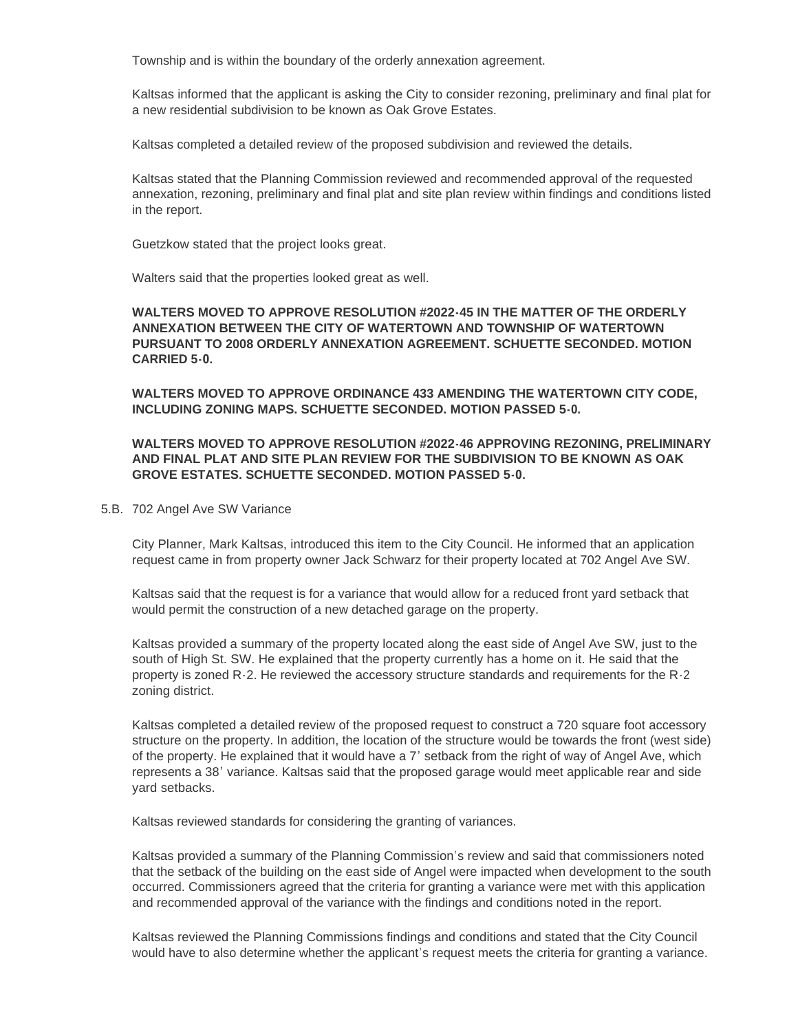Township and is within the boundary of the orderly annexation agreement.

Kaltsas informed that the applicant is asking the City to consider rezoning, preliminary and final plat for a new residential subdivision to be known as Oak Grove Estates.

Kaltsas completed a detailed review of the proposed subdivision and reviewed the details.

Kaltsas stated that the Planning Commission reviewed and recommended approval of the requested annexation, rezoning, preliminary and final plat and site plan review within findings and conditions listed in the report.

Guetzkow stated that the project looks great.

Walters said that the properties looked great as well.

## **WALTERS MOVED TO APPROVE RESOLUTION #2022-45 IN THE MATTER OF THE ORDERLY ANNEXATION BETWEEN THE CITY OF WATERTOWN AND TOWNSHIP OF WATERTOWN PURSUANT TO 2008 ORDERLY ANNEXATION AGREEMENT. SCHUETTE SECONDED. MOTION CARRIED 5-0.**

**WALTERS MOVED TO APPROVE ORDINANCE 433 AMENDING THE WATERTOWN CITY CODE, INCLUDING ZONING MAPS. SCHUETTE SECONDED. MOTION PASSED 5-0.**

## **WALTERS MOVED TO APPROVE RESOLUTION #2022-46 APPROVING REZONING, PRELIMINARY AND FINAL PLAT AND SITE PLAN REVIEW FOR THE SUBDIVISION TO BE KNOWN AS OAK GROVE ESTATES. SCHUETTE SECONDED. MOTION PASSED 5-0.**

#### 5.B. 702 Angel Ave SW Variance

City Planner, Mark Kaltsas, introduced this item to the City Council. He informed that an application request came in from property owner Jack Schwarz for their property located at 702 Angel Ave SW.

Kaltsas said that the request is for a variance that would allow for a reduced front yard setback that would permit the construction of a new detached garage on the property.

Kaltsas provided a summary of the property located along the east side of Angel Ave SW, just to the south of High St. SW. He explained that the property currently has a home on it. He said that the property is zoned R-2. He reviewed the accessory structure standards and requirements for the R-2 zoning district.

Kaltsas completed a detailed review of the proposed request to construct a 720 square foot accessory structure on the property. In addition, the location of the structure would be towards the front (west side) of the property. He explained that it would have a 7' setback from the right of way of Angel Ave, which represents a 38' variance. Kaltsas said that the proposed garage would meet applicable rear and side yard setbacks.

Kaltsas reviewed standards for considering the granting of variances.

Kaltsas provided a summary of the Planning Commission's review and said that commissioners noted that the setback of the building on the east side of Angel were impacted when development to the south occurred. Commissioners agreed that the criteria for granting a variance were met with this application and recommended approval of the variance with the findings and conditions noted in the report.

Kaltsas reviewed the Planning Commissions findings and conditions and stated that the City Council would have to also determine whether the applicant's request meets the criteria for granting a variance.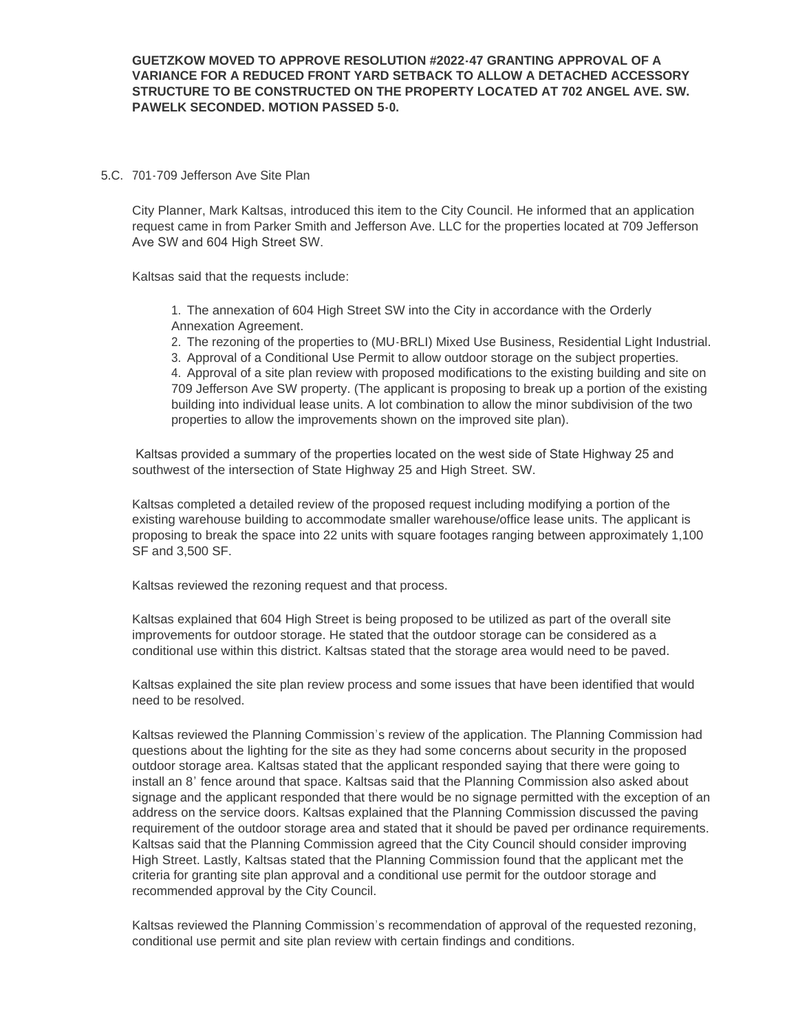#### 5.C. 701-709 Jefferson Ave Site Plan

City Planner, Mark Kaltsas, introduced this item to the City Council. He informed that an application request came in from Parker Smith and Jefferson Ave. LLC for the properties located at 709 Jefferson Ave SW and 604 High Street SW.

Kaltsas said that the requests include:

1. The annexation of 604 High Street SW into the City in accordance with the Orderly Annexation Agreement.

2. The rezoning of the properties to (MU-BRLI) Mixed Use Business, Residential Light Industrial.

3. Approval of a Conditional Use Permit to allow outdoor storage on the subject properties.

4. Approval of a site plan review with proposed modifications to the existing building and site on 709 Jefferson Ave SW property. (The applicant is proposing to break up a portion of the existing building into individual lease units. A lot combination to allow the minor subdivision of the two properties to allow the improvements shown on the improved site plan).

 Kaltsas provided a summary of the properties located on the west side of State Highway 25 and southwest of the intersection of State Highway 25 and High Street. SW.

Kaltsas completed a detailed review of the proposed request including modifying a portion of the existing warehouse building to accommodate smaller warehouse/office lease units. The applicant is proposing to break the space into 22 units with square footages ranging between approximately 1,100 SF and 3,500 SF.

Kaltsas reviewed the rezoning request and that process.

Kaltsas explained that 604 High Street is being proposed to be utilized as part of the overall site improvements for outdoor storage. He stated that the outdoor storage can be considered as a conditional use within this district. Kaltsas stated that the storage area would need to be paved.

Kaltsas explained the site plan review process and some issues that have been identified that would need to be resolved.

Kaltsas reviewed the Planning Commission's review of the application. The Planning Commission had questions about the lighting for the site as they had some concerns about security in the proposed outdoor storage area. Kaltsas stated that the applicant responded saying that there were going to install an 8' fence around that space. Kaltsas said that the Planning Commission also asked about signage and the applicant responded that there would be no signage permitted with the exception of an address on the service doors. Kaltsas explained that the Planning Commission discussed the paving requirement of the outdoor storage area and stated that it should be paved per ordinance requirements. Kaltsas said that the Planning Commission agreed that the City Council should consider improving High Street. Lastly, Kaltsas stated that the Planning Commission found that the applicant met the criteria for granting site plan approval and a conditional use permit for the outdoor storage and recommended approval by the City Council.

Kaltsas reviewed the Planning Commission's recommendation of approval of the requested rezoning, conditional use permit and site plan review with certain findings and conditions.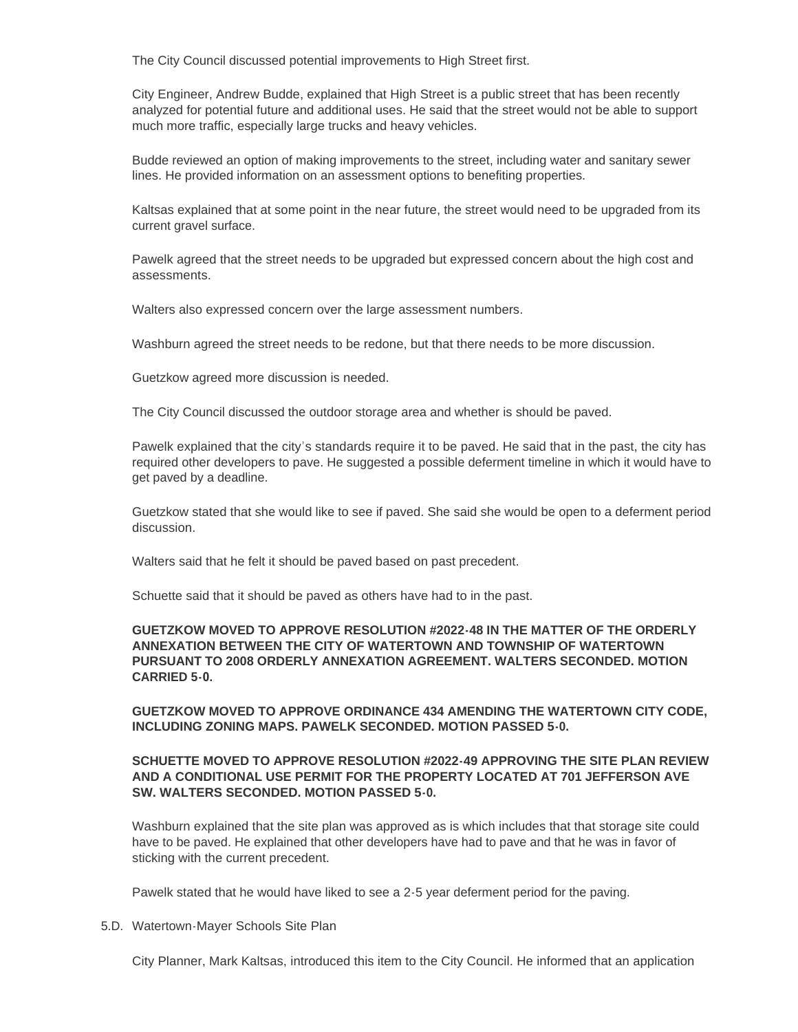The City Council discussed potential improvements to High Street first.

City Engineer, Andrew Budde, explained that High Street is a public street that has been recently analyzed for potential future and additional uses. He said that the street would not be able to support much more traffic, especially large trucks and heavy vehicles.

Budde reviewed an option of making improvements to the street, including water and sanitary sewer lines. He provided information on an assessment options to benefiting properties.

Kaltsas explained that at some point in the near future, the street would need to be upgraded from its current gravel surface.

Pawelk agreed that the street needs to be upgraded but expressed concern about the high cost and assessments.

Walters also expressed concern over the large assessment numbers.

Washburn agreed the street needs to be redone, but that there needs to be more discussion.

Guetzkow agreed more discussion is needed.

The City Council discussed the outdoor storage area and whether is should be paved.

Pawelk explained that the city's standards require it to be paved. He said that in the past, the city has required other developers to pave. He suggested a possible deferment timeline in which it would have to get paved by a deadline.

Guetzkow stated that she would like to see if paved. She said she would be open to a deferment period discussion.

Walters said that he felt it should be paved based on past precedent.

Schuette said that it should be paved as others have had to in the past.

## **GUETZKOW MOVED TO APPROVE RESOLUTION #2022-48 IN THE MATTER OF THE ORDERLY ANNEXATION BETWEEN THE CITY OF WATERTOWN AND TOWNSHIP OF WATERTOWN PURSUANT TO 2008 ORDERLY ANNEXATION AGREEMENT. WALTERS SECONDED. MOTION CARRIED 5-0.**

**GUETZKOW MOVED TO APPROVE ORDINANCE 434 AMENDING THE WATERTOWN CITY CODE, INCLUDING ZONING MAPS. PAWELK SECONDED. MOTION PASSED 5-0.**

## **SCHUETTE MOVED TO APPROVE RESOLUTION #2022-49 APPROVING THE SITE PLAN REVIEW AND A CONDITIONAL USE PERMIT FOR THE PROPERTY LOCATED AT 701 JEFFERSON AVE SW. WALTERS SECONDED. MOTION PASSED 5-0.**

Washburn explained that the site plan was approved as is which includes that that storage site could have to be paved. He explained that other developers have had to pave and that he was in favor of sticking with the current precedent.

Pawelk stated that he would have liked to see a 2-5 year deferment period for the paving.

5.D. Watertown-Mayer Schools Site Plan

City Planner, Mark Kaltsas, introduced this item to the City Council. He informed that an application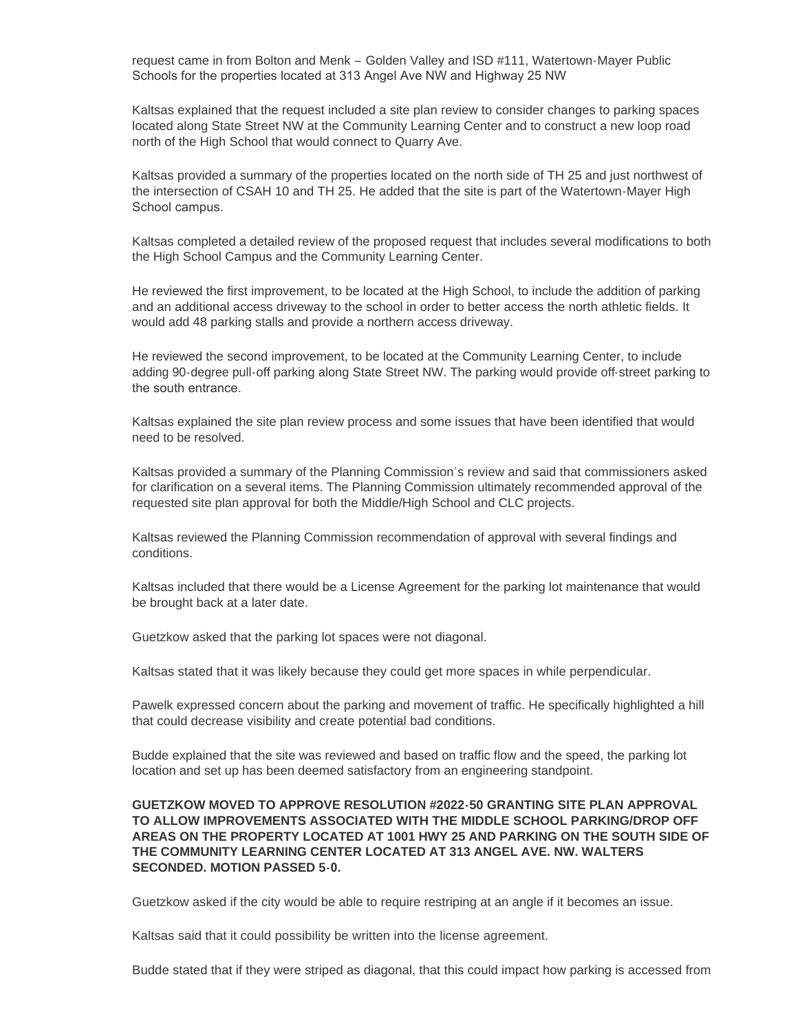request came in from Bolton and Menk – Golden Valley and ISD #111, Watertown-Mayer Public Schools for the properties located at 313 Angel Ave NW and Highway 25 NW

Kaltsas explained that the request included a site plan review to consider changes to parking spaces located along State Street NW at the Community Learning Center and to construct a new loop road north of the High School that would connect to Quarry Ave.

Kaltsas provided a summary of the properties located on the north side of TH 25 and just northwest of the intersection of CSAH 10 and TH 25. He added that the site is part of the Watertown-Mayer High School campus.

Kaltsas completed a detailed review of the proposed request that includes several modifications to both the High School Campus and the Community Learning Center.

He reviewed the first improvement, to be located at the High School, to include the addition of parking and an additional access driveway to the school in order to better access the north athletic fields. It would add 48 parking stalls and provide a northern access driveway.

He reviewed the second improvement, to be located at the Community Learning Center, to include adding 90-degree pull-off parking along State Street NW. The parking would provide off-street parking to the south entrance.

Kaltsas explained the site plan review process and some issues that have been identified that would need to be resolved.

Kaltsas provided a summary of the Planning Commission's review and said that commissioners asked for clarification on a several items. The Planning Commission ultimately recommended approval of the requested site plan approval for both the Middle/High School and CLC projects.

Kaltsas reviewed the Planning Commission recommendation of approval with several findings and conditions.

Kaltsas included that there would be a License Agreement for the parking lot maintenance that would be brought back at a later date.

Guetzkow asked that the parking lot spaces were not diagonal.

Kaltsas stated that it was likely because they could get more spaces in while perpendicular.

Pawelk expressed concern about the parking and movement of traffic. He specifically highlighted a hill that could decrease visibility and create potential bad conditions.

Budde explained that the site was reviewed and based on traffic flow and the speed, the parking lot location and set up has been deemed satisfactory from an engineering standpoint.

## **GUETZKOW MOVED TO APPROVE RESOLUTION #2022-50 GRANTING SITE PLAN APPROVAL TO ALLOW IMPROVEMENTS ASSOCIATED WITH THE MIDDLE SCHOOL PARKING/DROP OFF AREAS ON THE PROPERTY LOCATED AT 1001 HWY 25 AND PARKING ON THE SOUTH SIDE OF THE COMMUNITY LEARNING CENTER LOCATED AT 313 ANGEL AVE. NW. WALTERS SECONDED. MOTION PASSED 5-0.**

Guetzkow asked if the city would be able to require restriping at an angle if it becomes an issue.

Kaltsas said that it could possibility be written into the license agreement.

Budde stated that if they were striped as diagonal, that this could impact how parking is accessed from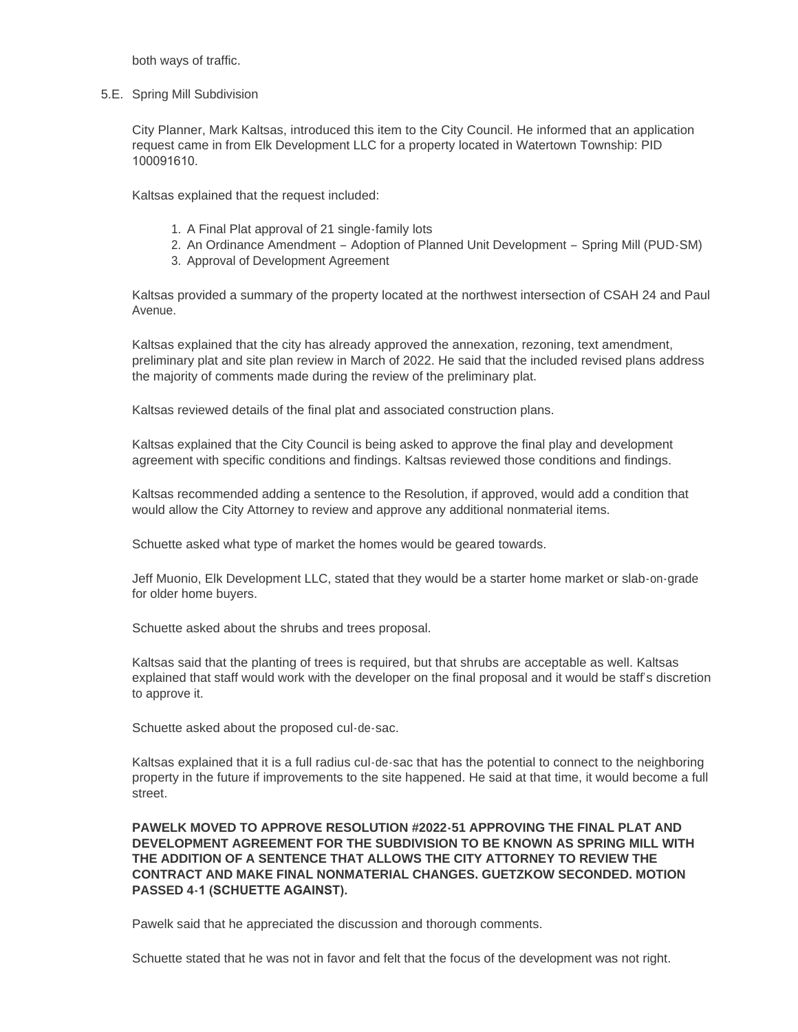both ways of traffic.

5.E. Spring Mill Subdivision

City Planner, Mark Kaltsas, introduced this item to the City Council. He informed that an application request came in from Elk Development LLC for a property located in Watertown Township: PID 100091610.

Kaltsas explained that the request included:

- 1. A Final Plat approval of 21 single-family lots
- 2. An Ordinance Amendment Adoption of Planned Unit Development Spring Mill (PUD-SM)
- 3. Approval of Development Agreement

Kaltsas provided a summary of the property located at the northwest intersection of CSAH 24 and Paul Avenue.

Kaltsas explained that the city has already approved the annexation, rezoning, text amendment, preliminary plat and site plan review in March of 2022. He said that the included revised plans address the majority of comments made during the review of the preliminary plat.

Kaltsas reviewed details of the final plat and associated construction plans.

Kaltsas explained that the City Council is being asked to approve the final play and development agreement with specific conditions and findings. Kaltsas reviewed those conditions and findings.

Kaltsas recommended adding a sentence to the Resolution, if approved, would add a condition that would allow the City Attorney to review and approve any additional nonmaterial items.

Schuette asked what type of market the homes would be geared towards.

Jeff Muonio, Elk Development LLC, stated that they would be a starter home market or slab-on-grade for older home buyers.

Schuette asked about the shrubs and trees proposal.

Kaltsas said that the planting of trees is required, but that shrubs are acceptable as well. Kaltsas explained that staff would work with the developer on the final proposal and it would be staff's discretion to approve it.

Schuette asked about the proposed cul-de-sac.

Kaltsas explained that it is a full radius cul-de-sac that has the potential to connect to the neighboring property in the future if improvements to the site happened. He said at that time, it would become a full street.

**PAWELK MOVED TO APPROVE RESOLUTION #2022-51 APPROVING THE FINAL PLAT AND DEVELOPMENT AGREEMENT FOR THE SUBDIVISION TO BE KNOWN AS SPRING MILL WITH THE ADDITION OF A SENTENCE THAT ALLOWS THE CITY ATTORNEY TO REVIEW THE CONTRACT AND MAKE FINAL NONMATERIAL CHANGES. GUETZKOW SECONDED. MOTION PASSED 4-1 (SCHUETTE AGAINST).** 

Pawelk said that he appreciated the discussion and thorough comments.

Schuette stated that he was not in favor and felt that the focus of the development was not right.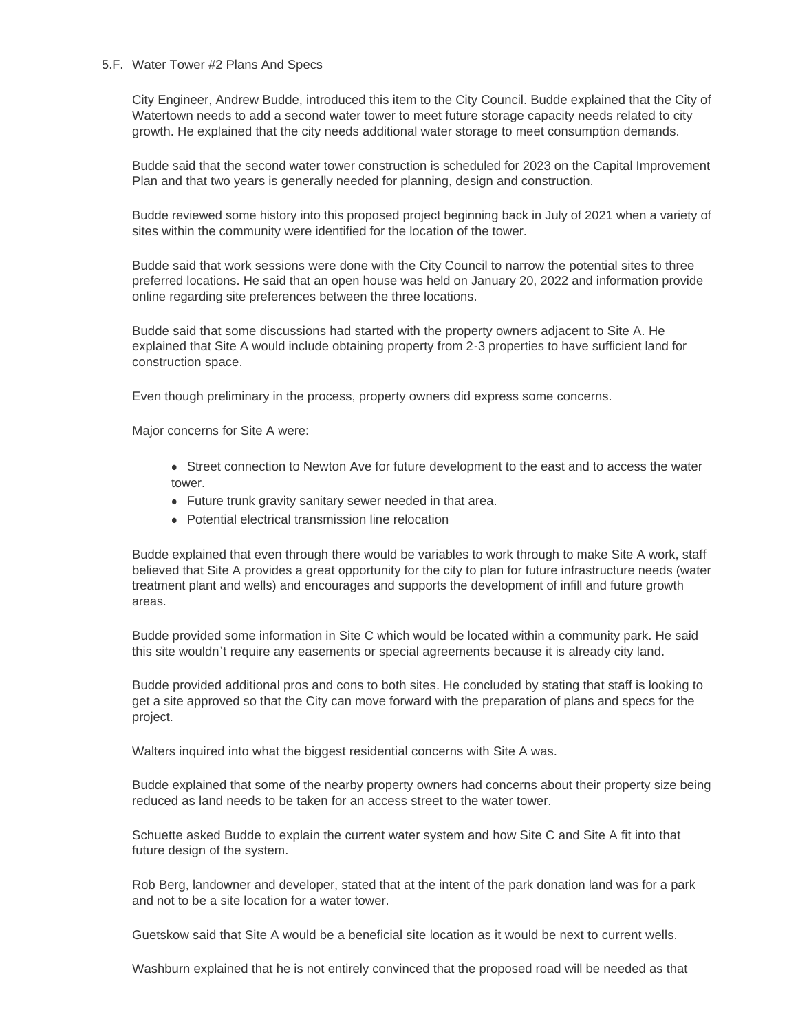#### 5.F. Water Tower #2 Plans And Specs

City Engineer, Andrew Budde, introduced this item to the City Council. Budde explained that the City of Watertown needs to add a second water tower to meet future storage capacity needs related to city growth. He explained that the city needs additional water storage to meet consumption demands.

Budde said that the second water tower construction is scheduled for 2023 on the Capital Improvement Plan and that two years is generally needed for planning, design and construction.

Budde reviewed some history into this proposed project beginning back in July of 2021 when a variety of sites within the community were identified for the location of the tower.

Budde said that work sessions were done with the City Council to narrow the potential sites to three preferred locations. He said that an open house was held on January 20, 2022 and information provide online regarding site preferences between the three locations.

Budde said that some discussions had started with the property owners adjacent to Site A. He explained that Site A would include obtaining property from 2-3 properties to have sufficient land for construction space.

Even though preliminary in the process, property owners did express some concerns.

Major concerns for Site A were:

- Street connection to Newton Ave for future development to the east and to access the water tower.
- Future trunk gravity sanitary sewer needed in that area.
- Potential electrical transmission line relocation

Budde explained that even through there would be variables to work through to make Site A work, staff believed that Site A provides a great opportunity for the city to plan for future infrastructure needs (water treatment plant and wells) and encourages and supports the development of infill and future growth areas.

Budde provided some information in Site C which would be located within a community park. He said this site wouldn't require any easements or special agreements because it is already city land.

Budde provided additional pros and cons to both sites. He concluded by stating that staff is looking to get a site approved so that the City can move forward with the preparation of plans and specs for the project.

Walters inquired into what the biggest residential concerns with Site A was.

Budde explained that some of the nearby property owners had concerns about their property size being reduced as land needs to be taken for an access street to the water tower.

Schuette asked Budde to explain the current water system and how Site C and Site A fit into that future design of the system.

Rob Berg, landowner and developer, stated that at the intent of the park donation land was for a park and not to be a site location for a water tower.

Guetskow said that Site A would be a beneficial site location as it would be next to current wells.

Washburn explained that he is not entirely convinced that the proposed road will be needed as that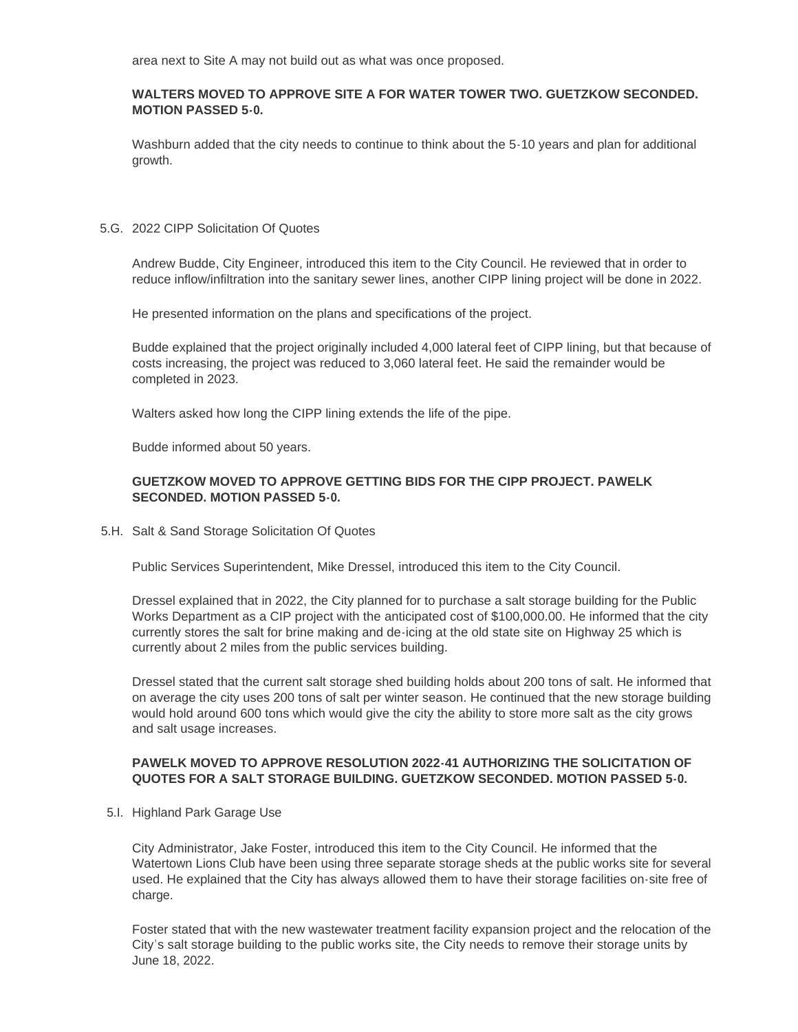area next to Site A may not build out as what was once proposed.

### **WALTERS MOVED TO APPROVE SITE A FOR WATER TOWER TWO. GUETZKOW SECONDED. MOTION PASSED 5-0.**

Washburn added that the city needs to continue to think about the 5-10 years and plan for additional growth.

### 5.G. 2022 CIPP Solicitation Of Quotes

Andrew Budde, City Engineer, introduced this item to the City Council. He reviewed that in order to reduce inflow/infiltration into the sanitary sewer lines, another CIPP lining project will be done in 2022.

He presented information on the plans and specifications of the project.

Budde explained that the project originally included 4,000 lateral feet of CIPP lining, but that because of costs increasing, the project was reduced to 3,060 lateral feet. He said the remainder would be completed in 2023.

Walters asked how long the CIPP lining extends the life of the pipe.

Budde informed about 50 years.

## **GUETZKOW MOVED TO APPROVE GETTING BIDS FOR THE CIPP PROJECT. PAWELK SECONDED. MOTION PASSED 5-0.**

5.H. Salt & Sand Storage Solicitation Of Quotes

Public Services Superintendent, Mike Dressel, introduced this item to the City Council.

Dressel explained that in 2022, the City planned for to purchase a salt storage building for the Public Works Department as a CIP project with the anticipated cost of \$100,000.00. He informed that the city currently stores the salt for brine making and de-icing at the old state site on Highway 25 which is currently about 2 miles from the public services building.

Dressel stated that the current salt storage shed building holds about 200 tons of salt. He informed that on average the city uses 200 tons of salt per winter season. He continued that the new storage building would hold around 600 tons which would give the city the ability to store more salt as the city grows and salt usage increases.

## **PAWELK MOVED TO APPROVE RESOLUTION 2022-41 AUTHORIZING THE SOLICITATION OF QUOTES FOR A SALT STORAGE BUILDING. GUETZKOW SECONDED. MOTION PASSED 5-0.**

5.I. Highland Park Garage Use

City Administrator, Jake Foster, introduced this item to the City Council. He informed that the Watertown Lions Club have been using three separate storage sheds at the public works site for several used. He explained that the City has always allowed them to have their storage facilities on-site free of charge.

Foster stated that with the new wastewater treatment facility expansion project and the relocation of the City's salt storage building to the public works site, the City needs to remove their storage units by June 18, 2022.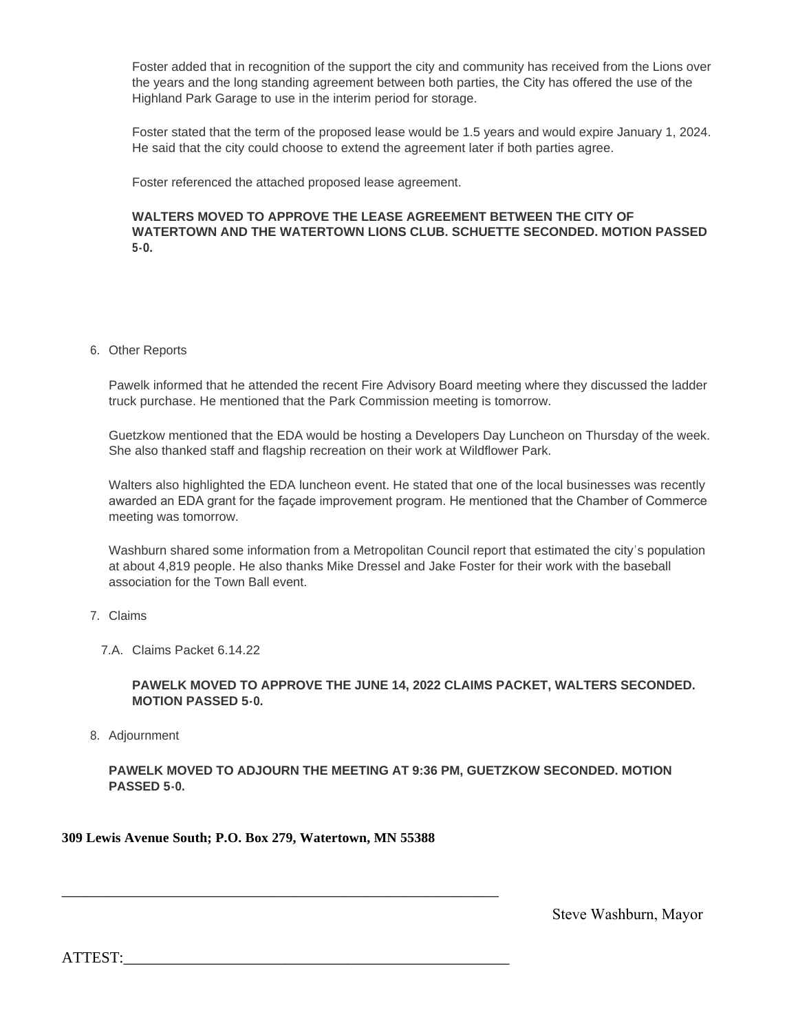Foster added that in recognition of the support the city and community has received from the Lions over the years and the long standing agreement between both parties, the City has offered the use of the Highland Park Garage to use in the interim period for storage.

Foster stated that the term of the proposed lease would be 1.5 years and would expire January 1, 2024. He said that the city could choose to extend the agreement later if both parties agree.

Foster referenced the attached proposed lease agreement.

### **WALTERS MOVED TO APPROVE THE LEASE AGREEMENT BETWEEN THE CITY OF WATERTOWN AND THE WATERTOWN LIONS CLUB. SCHUETTE SECONDED. MOTION PASSED 5-0.**

6. Other Reports

Pawelk informed that he attended the recent Fire Advisory Board meeting where they discussed the ladder truck purchase. He mentioned that the Park Commission meeting is tomorrow.

Guetzkow mentioned that the EDA would be hosting a Developers Day Luncheon on Thursday of the week. She also thanked staff and flagship recreation on their work at Wildflower Park.

Walters also highlighted the EDA luncheon event. He stated that one of the local businesses was recently awarded an EDA grant for the façade improvement program. He mentioned that the Chamber of Commerce meeting was tomorrow.

Washburn shared some information from a Metropolitan Council report that estimated the city's population at about 4,819 people. He also thanks Mike Dressel and Jake Foster for their work with the baseball association for the Town Ball event.

- 7. Claims
	- Claims Packet 6.14.22 7.A.

**PAWELK MOVED TO APPROVE THE JUNE 14, 2022 CLAIMS PACKET, WALTERS SECONDED. MOTION PASSED 5-0.**

8. Adjournment

**PAWELK MOVED TO ADJOURN THE MEETING AT 9:36 PM, GUETZKOW SECONDED. MOTION PASSED 5-0.**

**309 Lewis Avenue South; P.O. Box 279, Watertown, MN 55388**

\_\_\_\_\_\_\_\_\_\_\_\_\_\_\_\_\_\_\_\_\_\_\_\_\_\_\_\_\_\_\_\_\_\_\_\_\_\_\_\_\_\_\_\_\_\_\_\_\_\_\_\_\_\_\_\_

Steve Washburn, Mayor

ATTEST: